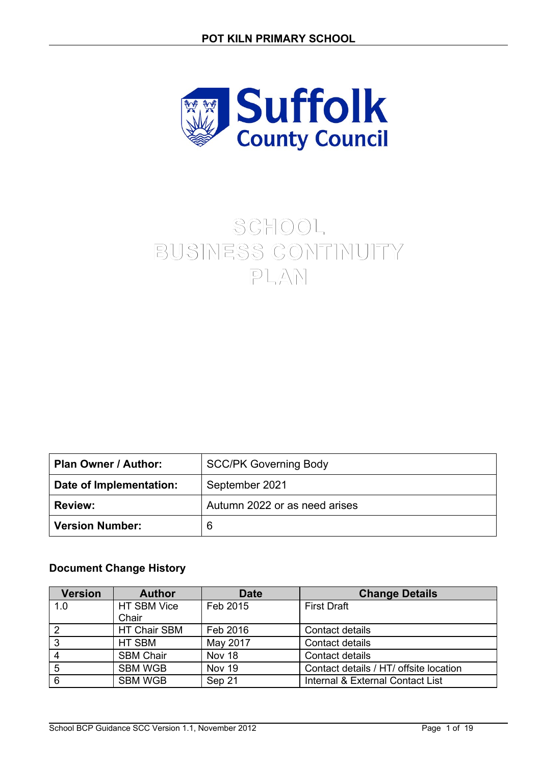

# **SCHOOL BUSINESS CONTINUITY PLAN**

| Plan Owner / Author:    | <b>SCC/PK Governing Body</b>  |
|-------------------------|-------------------------------|
| Date of Implementation: | September 2021                |
| <b>Review:</b>          | Autumn 2022 or as need arises |
| Version Number:         | 6                             |

### **Document Change History**

| <b>Version</b> | <b>Author</b>       | <b>Date</b>   | <b>Change Details</b>                  |
|----------------|---------------------|---------------|----------------------------------------|
| 1.0            | HT SBM Vice         | Feb 2015      | <b>First Draft</b>                     |
|                | Chair               |               |                                        |
| $\overline{2}$ | <b>HT Chair SBM</b> | Feb 2016      | Contact details                        |
| 3              | HT SBM              | May 2017      | Contact details                        |
| 4              | <b>SBM Chair</b>    | Nov 18        | Contact details                        |
| 5              | <b>SBM WGB</b>      | <b>Nov 19</b> | Contact details / HT/ offsite location |
| 6              | <b>SBM WGB</b>      | Sep 21        | Internal & External Contact List       |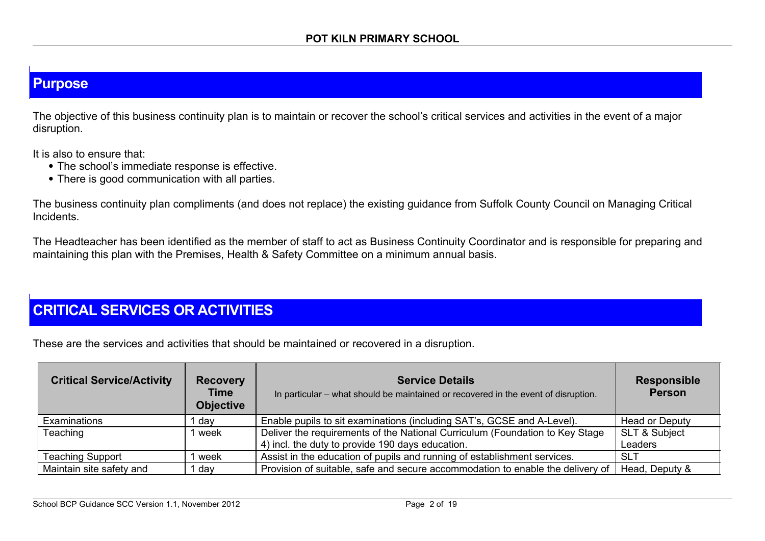# **Purpose**

The objective of this business continuity plan is to maintain or recover the school's critical services and activities in the event of a major disruption.

It is also to ensure that:

- The school's immediate response is effective.
- There is good communication with all parties.

The business continuity plan compliments (and does not replace) the existing guidance from Suffolk County Council on Managing Critical Incidents.

The Headteacher has been identified as the member of staff to act as Business Continuity Coordinator and is responsible for preparing and maintaining this plan with the Premises, Health & Safety Committee on a minimum annual basis.

## **CRITICAL SERVICES OR ACTIVITIES**

These are the services and activities that should be maintained or recovered in a disruption.

| <b>Critical Service/Activity</b> | <b>Recovery</b><br><b>Time</b><br><b>Objective</b> | <b>Service Details</b><br>In particular – what should be maintained or recovered in the event of disruption. | <b>Responsible</b><br><b>Person</b> |
|----------------------------------|----------------------------------------------------|--------------------------------------------------------------------------------------------------------------|-------------------------------------|
| Examinations                     | ∣ dav                                              | Enable pupils to sit examinations (including SAT's, GCSE and A-Level).                                       | <b>Head or Deputy</b>               |
| Teaching                         | 1 week                                             | Deliver the requirements of the National Curriculum (Foundation to Key Stage                                 | <b>SLT &amp; Subject</b>            |
|                                  |                                                    | 4) incl. the duty to provide 190 days education.                                                             | Leaders                             |
| <b>Teaching Support</b>          | week                                               | Assist in the education of pupils and running of establishment services.                                     | <b>SLT</b>                          |
| Maintain site safety and         | 1 day                                              | Provision of suitable, safe and secure accommodation to enable the delivery of                               | Head, Deputy &                      |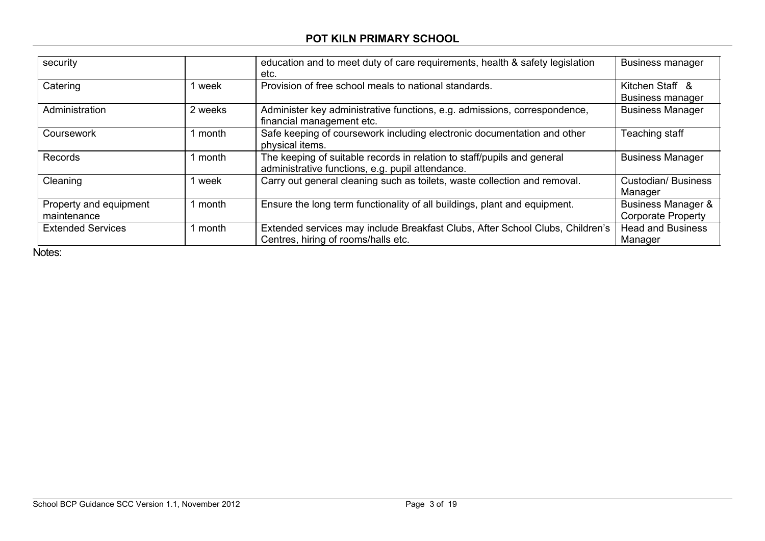### **POT KILN PRIMARY SCHOOL**

| security                              |         | education and to meet duty of care requirements, health & safety legislation<br>etc.                                        | <b>Business manager</b>                                    |
|---------------------------------------|---------|-----------------------------------------------------------------------------------------------------------------------------|------------------------------------------------------------|
| Catering                              | l week  | Provision of free school meals to national standards.                                                                       | Kitchen Staff &<br><b>Business manager</b>                 |
| Administration                        | 2 weeks | Administer key administrative functions, e.g. admissions, correspondence,<br>financial management etc.                      | <b>Business Manager</b>                                    |
| Coursework                            | 1 month | Safe keeping of coursework including electronic documentation and other<br>physical items.                                  | Teaching staff                                             |
| Records                               | 1 month | The keeping of suitable records in relation to staff/pupils and general<br>administrative functions, e.g. pupil attendance. | <b>Business Manager</b>                                    |
| Cleaning                              | 1 week  | Carry out general cleaning such as toilets, waste collection and removal.                                                   | <b>Custodian/Business</b><br>Manager                       |
| Property and equipment<br>maintenance | 1 month | Ensure the long term functionality of all buildings, plant and equipment.                                                   | <b>Business Manager &amp;</b><br><b>Corporate Property</b> |
| <b>Extended Services</b>              | 1 month | Extended services may include Breakfast Clubs, After School Clubs, Children's<br>Centres, hiring of rooms/halls etc.        | <b>Head and Business</b><br>Manager                        |

Notes: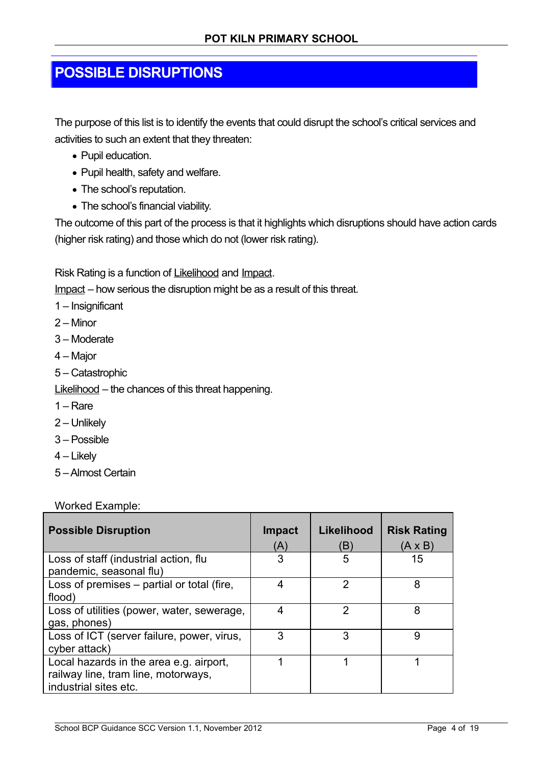# **POSSIBLE DISRUPTIONS**

The purpose of this list is to identify the events that could disrupt the school's critical services and activities to such an extent that they threaten:

- Pupil education.
- Pupil health, safety and welfare.
- The school's reputation.
- The school's financial viability.

The outcome of this part of the process is that it highlights which disruptions should have action cards (higher risk rating) and those which do not (lower risk rating).

Risk Rating is a function of Likelihood and Impact.

Impact – how serious the disruption might be as a result of this threat.

- 1 Insignificant
- 2 Minor
- 3 Moderate
- 4 Major
- 5 Catastrophic

Likelihood – the chances of this threat happening.

- 1 Rare
- 2 Unlikely
- 3 Possible
- 4 Likely
- 5 Almost Certain

Worked Example:

| <b>Possible Disruption</b>                                                                              | Impact<br>(A) | Likelihood<br>(B) | <b>Risk Rating</b><br>$(A \times B)$ |
|---------------------------------------------------------------------------------------------------------|---------------|-------------------|--------------------------------------|
| Loss of staff (industrial action, flu<br>pandemic, seasonal flu)                                        | 3             | 5                 | 15                                   |
| Loss of premises - partial or total (fire,<br>flood)                                                    | 4             | 2                 | 8                                    |
| Loss of utilities (power, water, sewerage,<br>gas, phones)                                              | 4             | 2                 | 8                                    |
| Loss of ICT (server failure, power, virus,<br>cyber attack)                                             | 3             | 3                 | 9                                    |
| Local hazards in the area e.g. airport,<br>railway line, tram line, motorways,<br>industrial sites etc. |               |                   |                                      |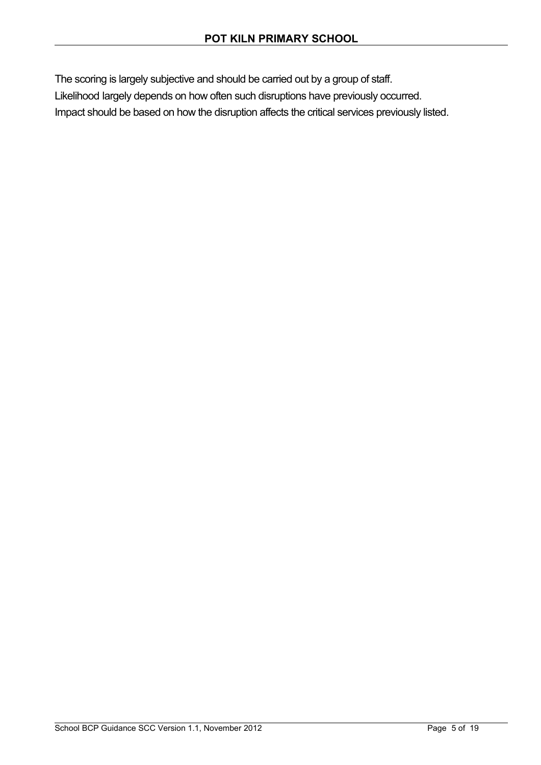The scoring is largely subjective and should be carried out by a group of staff.

Likelihood largely depends on how often such disruptions have previously occurred.

Impact should be based on how the disruption affects the critical services previously listed.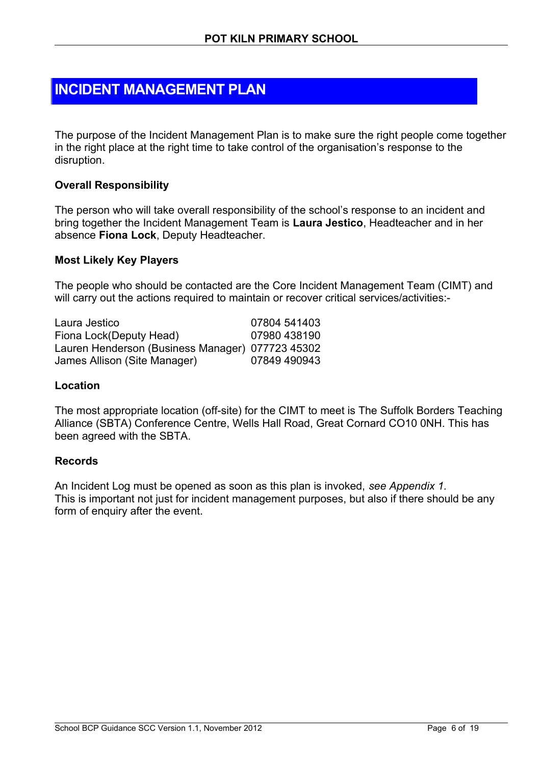## **INCIDENT MANAGEMENT PLAN**

The purpose of the Incident Management Plan is to make sure the right people come together in the right place at the right time to take control of the organisation's response to the disruption.

#### **Overall Responsibility**

The person who will take overall responsibility of the school's response to an incident and bring together the Incident Management Team is **Laura Jestico**, Headteacher and in her absence **Fiona Lock**, Deputy Headteacher.

#### **Most Likely Key Players**

The people who should be contacted are the Core Incident Management Team (CIMT) and will carry out the actions required to maintain or recover critical services/activities:-

Laura Jestico 07804 541403 Fiona Lock(Deputy Head) 07980 438190 Lauren Henderson (Business Manager) 077723 45302 James Allison (Site Manager) 07849 490943

#### **Location**

The most appropriate location (off-site) for the CIMT to meet is The Suffolk Borders Teaching Alliance (SBTA) Conference Centre, Wells Hall Road, Great Cornard CO10 0NH. This has been agreed with the SBTA.

#### **Records**

An Incident Log must be opened as soon as this plan is invoked, *see Appendix 1.* This is important not just for incident management purposes, but also if there should be any form of enquiry after the event.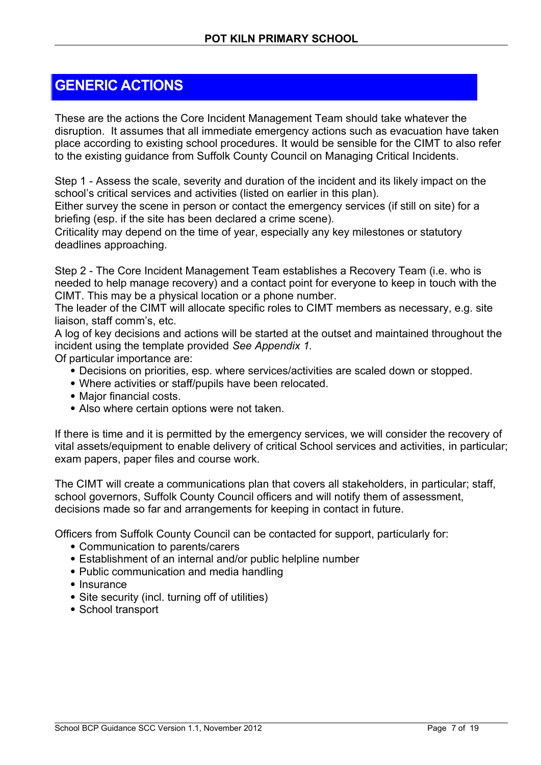# **GENERIC ACTIONS**

These are the actions the Core Incident Management Team should take whatever the disruption. It assumes that all immediate emergency actions such as evacuation have taken place according to existing school procedures. It would be sensible for the CIMT to also refer to the existing guidance from Suffolk County Council on Managing Critical Incidents.

Step 1 - Assess the scale, severity and duration of the incident and its likely impact on the school's critical services and activities (listed on earlier in this plan).

Either survey the scene in person or contact the emergency services (if still on site) for a briefing (esp. if the site has been declared a crime scene).

Criticality may depend on the time of year, especially any key milestones or statutory deadlines approaching.

Step 2 - The Core Incident Management Team establishes a Recovery Team (i.e. who is needed to help manage recovery) and a contact point for everyone to keep in touch with the CIMT. This may be a physical location or a phone number.

The leader of the CIMT will allocate specific roles to CIMT members as necessary, e.g. site liaison, staff comm's, etc.

A log of key decisions and actions will be started at the outset and maintained throughout the incident using the template provided *See Appendix 1.*

Of particular importance are:

- Decisions on priorities, esp. where services/activities are scaled down or stopped.
- Where activities or staff/pupils have been relocated.
- Major financial costs.
- Also where certain options were not taken.

If there is time and it is permitted by the emergency services, we will consider the recovery of vital assets/equipment to enable delivery of critical School services and activities, in particular; exam papers, paper files and course work.

The CIMT will create a communications plan that covers all stakeholders, in particular; staff, school governors, Suffolk County Council officers and will notify them of assessment, decisions made so far and arrangements for keeping in contact in future.

Officers from Suffolk County Council can be contacted for support, particularly for:

- Communication to parents/carers
- Establishment of an internal and/or public helpline number
- Public communication and media handling
- Insurance
- Site security (incl. turning off of utilities)
- School transport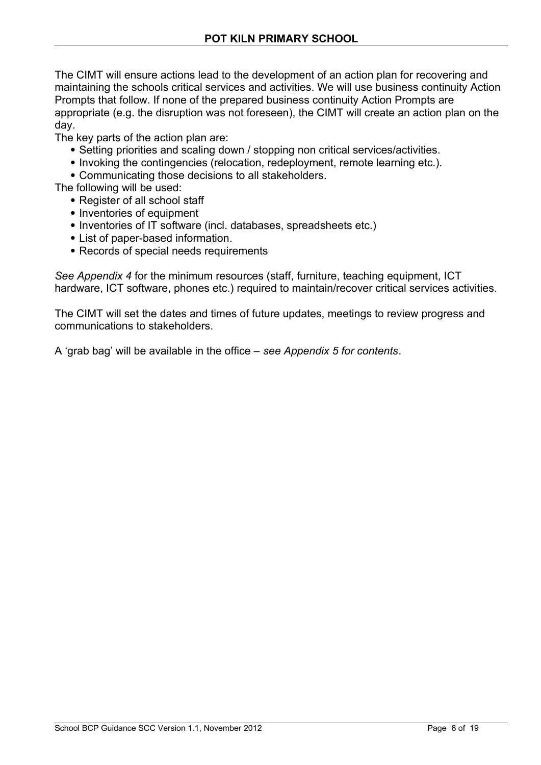The CIMT will ensure actions lead to the development of an action plan for recovering and maintaining the schools critical services and activities. We will use business continuity Action Prompts that follow. If none of the prepared business continuity Action Prompts are appropriate (e.g. the disruption was not foreseen), the CIMT will create an action plan on the day.

The key parts of the action plan are:

- Setting priorities and scaling down / stopping non critical services/activities.
- Invoking the contingencies (relocation, redeployment, remote learning etc.).
- Communicating those decisions to all stakeholders.
- The following will be used:
	- Register of all school staff
	- Inventories of equipment
	- Inventories of IT software (incl. databases, spreadsheets etc.)
	- List of paper-based information.
	- Records of special needs requirements

*See Appendix 4* for the minimum resources (staff, furniture, teaching equipment, ICT hardware, ICT software, phones etc.) required to maintain/recover critical services activities.

The CIMT will set the dates and times of future updates, meetings to review progress and communications to stakeholders.

A 'grab bag' will be available in the office – *see Appendix 5 for contents*.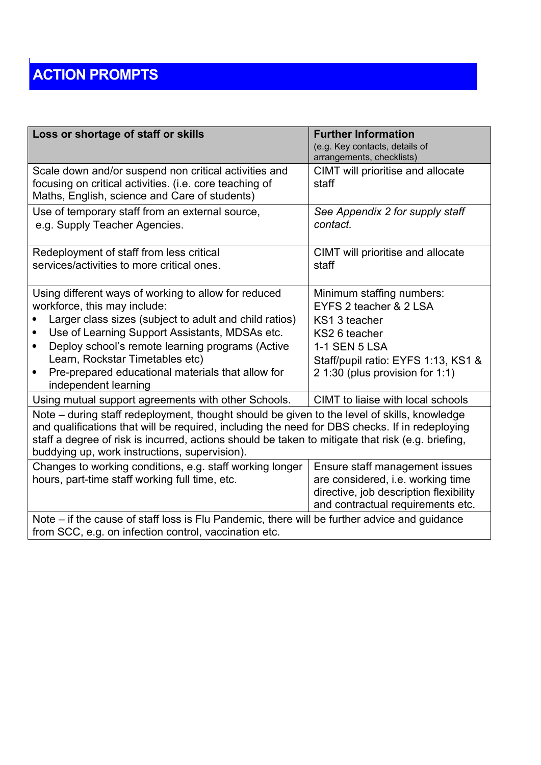# **ACTION PROMPTS**

| Loss or shortage of staff or skills                                                                                                                                                                                                                                                                                                                                                                                                             | <b>Further Information</b><br>(e.g. Key contacts, details of<br>arrangements, checklists)                                                                                               |  |  |
|-------------------------------------------------------------------------------------------------------------------------------------------------------------------------------------------------------------------------------------------------------------------------------------------------------------------------------------------------------------------------------------------------------------------------------------------------|-----------------------------------------------------------------------------------------------------------------------------------------------------------------------------------------|--|--|
| Scale down and/or suspend non critical activities and<br>focusing on critical activities. (i.e. core teaching of<br>Maths, English, science and Care of students)                                                                                                                                                                                                                                                                               | CIMT will prioritise and allocate<br>staff                                                                                                                                              |  |  |
| Use of temporary staff from an external source,<br>e.g. Supply Teacher Agencies.                                                                                                                                                                                                                                                                                                                                                                | See Appendix 2 for supply staff<br>contact.                                                                                                                                             |  |  |
| Redeployment of staff from less critical<br>services/activities to more critical ones.                                                                                                                                                                                                                                                                                                                                                          | CIMT will prioritise and allocate<br>staff                                                                                                                                              |  |  |
| Using different ways of working to allow for reduced<br>workforce, this may include:<br>Larger class sizes (subject to adult and child ratios)<br>Use of Learning Support Assistants, MDSAs etc.<br>Deploy school's remote learning programs (Active<br>Learn, Rockstar Timetables etc)<br>Pre-prepared educational materials that allow for<br>independent learning                                                                            | Minimum staffing numbers:<br>EYFS 2 teacher & 2 LSA<br>KS1 3 teacher<br>KS2 6 teacher<br><b>1-1 SEN 5 LSA</b><br>Staff/pupil ratio: EYFS 1:13, KS1 &<br>2 1:30 (plus provision for 1:1) |  |  |
| Using mutual support agreements with other Schools.<br>CIMT to liaise with local schools<br>Note - during staff redeployment, thought should be given to the level of skills, knowledge<br>and qualifications that will be required, including the need for DBS checks. If in redeploying<br>staff a degree of risk is incurred, actions should be taken to mitigate that risk (e.g. briefing,<br>buddying up, work instructions, supervision). |                                                                                                                                                                                         |  |  |
| Changes to working conditions, e.g. staff working longer<br>hours, part-time staff working full time, etc.                                                                                                                                                                                                                                                                                                                                      | Ensure staff management issues<br>are considered, i.e. working time<br>directive, job description flexibility<br>and contractual requirements etc.                                      |  |  |
| Note – if the cause of staff loss is Flu Pandemic, there will be further advice and guidance<br>from SCC, e.g. on infection control, vaccination etc.                                                                                                                                                                                                                                                                                           |                                                                                                                                                                                         |  |  |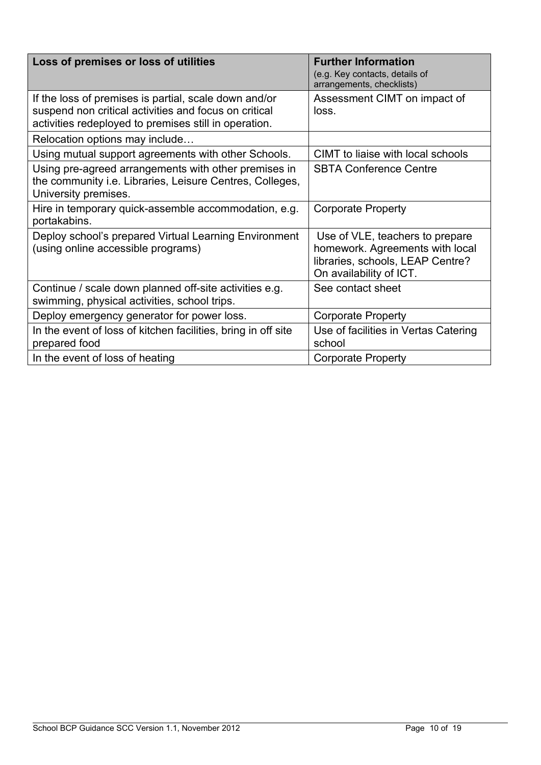| Loss of premises or loss of utilities                                                                                                                                   | <b>Further Information</b><br>(e.g. Key contacts, details of<br>arrangements, checklists)                                         |
|-------------------------------------------------------------------------------------------------------------------------------------------------------------------------|-----------------------------------------------------------------------------------------------------------------------------------|
| If the loss of premises is partial, scale down and/or<br>suspend non critical activities and focus on critical<br>activities redeployed to premises still in operation. | Assessment CIMT on impact of<br>loss.                                                                                             |
| Relocation options may include                                                                                                                                          |                                                                                                                                   |
| Using mutual support agreements with other Schools.                                                                                                                     | CIMT to liaise with local schools                                                                                                 |
| Using pre-agreed arrangements with other premises in<br>the community i.e. Libraries, Leisure Centres, Colleges,<br>University premises.                                | <b>SBTA Conference Centre</b>                                                                                                     |
| Hire in temporary quick-assemble accommodation, e.g.<br>portakabins.                                                                                                    | <b>Corporate Property</b>                                                                                                         |
| Deploy school's prepared Virtual Learning Environment<br>(using online accessible programs)                                                                             | Use of VLE, teachers to prepare<br>homework. Agreements with local<br>libraries, schools, LEAP Centre?<br>On availability of ICT. |
| Continue / scale down planned off-site activities e.g.<br>swimming, physical activities, school trips.                                                                  | See contact sheet                                                                                                                 |
| Deploy emergency generator for power loss.                                                                                                                              | <b>Corporate Property</b>                                                                                                         |
| In the event of loss of kitchen facilities, bring in off site<br>prepared food                                                                                          | Use of facilities in Vertas Catering<br>school                                                                                    |
| In the event of loss of heating                                                                                                                                         | <b>Corporate Property</b>                                                                                                         |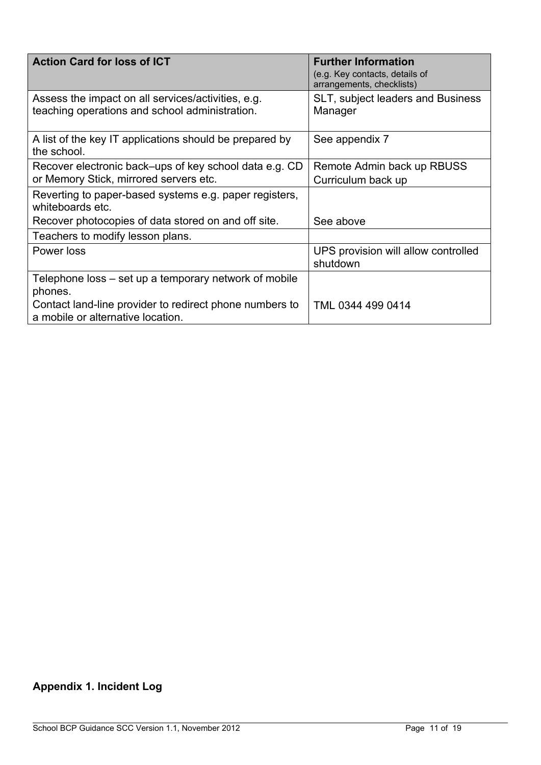| <b>Action Card for loss of ICT</b>                                                                   | <b>Further Information</b><br>(e.g. Key contacts, details of<br>arrangements, checklists) |
|------------------------------------------------------------------------------------------------------|-------------------------------------------------------------------------------------------|
| Assess the impact on all services/activities, e.g.<br>teaching operations and school administration. | SLT, subject leaders and Business<br>Manager                                              |
| A list of the key IT applications should be prepared by<br>the school.                               | See appendix 7                                                                            |
| Recover electronic back–ups of key school data e.g. CD<br>or Memory Stick, mirrored servers etc.     | Remote Admin back up RBUSS<br>Curriculum back up                                          |
| Reverting to paper-based systems e.g. paper registers,<br>whiteboards etc.                           |                                                                                           |
| Recover photocopies of data stored on and off site.                                                  | See above                                                                                 |
| Teachers to modify lesson plans.                                                                     |                                                                                           |
| Power loss                                                                                           | UPS provision will allow controlled<br>shutdown                                           |
| Telephone loss – set up a temporary network of mobile<br>phones.                                     |                                                                                           |
| Contact land-line provider to redirect phone numbers to<br>a mobile or alternative location.         | TML 0344 499 0414                                                                         |

# **Appendix 1. Incident Log**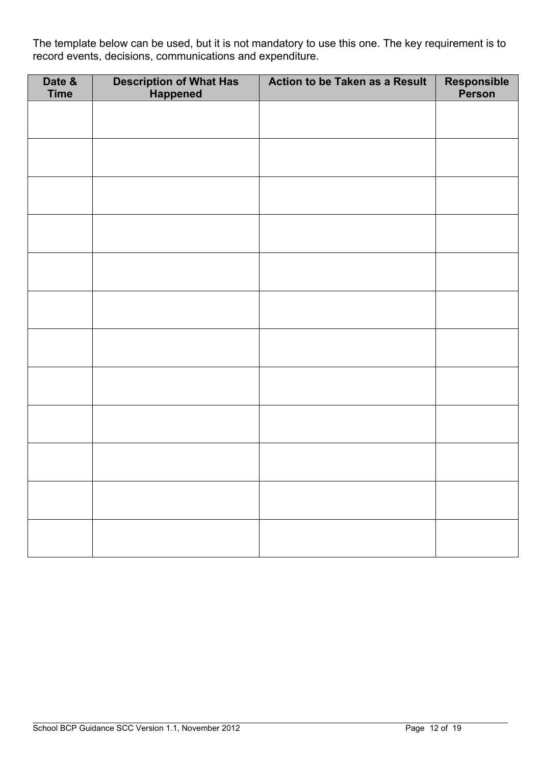The template below can be used, but it is not mandatory to use this one. The key requirement is to record events, decisions, communications and expenditure.

| Date &<br><b>Time</b> | <b>Description of What Has<br/>Happened</b> | Action to be Taken as a Result | Responsible<br>Person |
|-----------------------|---------------------------------------------|--------------------------------|-----------------------|
|                       |                                             |                                |                       |
|                       |                                             |                                |                       |
|                       |                                             |                                |                       |
|                       |                                             |                                |                       |
|                       |                                             |                                |                       |
|                       |                                             |                                |                       |
|                       |                                             |                                |                       |
|                       |                                             |                                |                       |
|                       |                                             |                                |                       |
|                       |                                             |                                |                       |
|                       |                                             |                                |                       |
|                       |                                             |                                |                       |
|                       |                                             |                                |                       |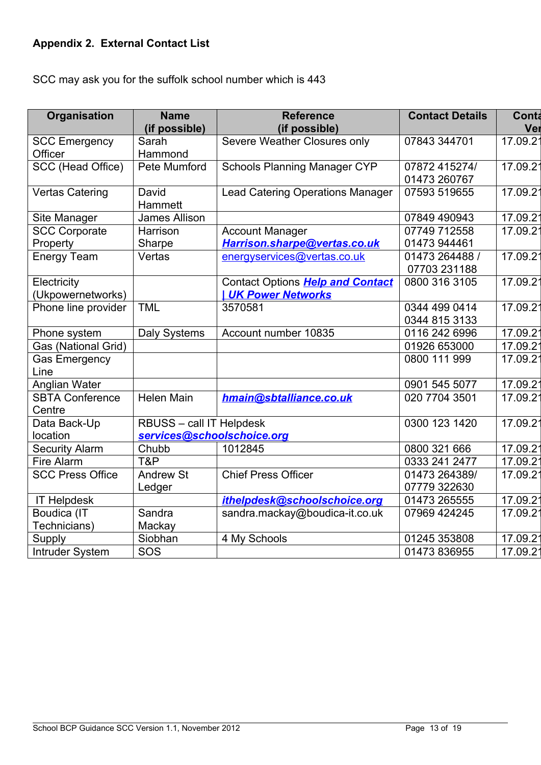### **Appendix 2. External Contact List**

SCC may ask you for the suffolk school number which is 443

| <b>Organisation</b>              | <b>Name</b><br>(if possible) | <b>Reference</b><br>(if possible)                            | <b>Contact Details</b>         | Conta<br>Ver         |
|----------------------------------|------------------------------|--------------------------------------------------------------|--------------------------------|----------------------|
| <b>SCC Emergency</b><br>Officer  | Sarah<br>Hammond             | Severe Weather Closures only                                 | 07843 344701                   | 17.09.21             |
| SCC (Head Office)                | Pete Mumford                 | <b>Schools Planning Manager CYP</b>                          | 07872 415274/<br>01473 260767  | 17.09.21             |
| <b>Vertas Catering</b>           | David<br>Hammett             | <b>Lead Catering Operations Manager</b>                      | 07593 519655                   | 17.09.21             |
| Site Manager                     | <b>James Allison</b>         |                                                              | 07849 490943                   | 17.09.2 <sup>2</sup> |
| <b>SCC Corporate</b><br>Property | Harrison<br>Sharpe           | <b>Account Manager</b><br>Harrison.sharpe@vertas.co.uk       | 07749 712558<br>01473 944461   | 17.09.21             |
| <b>Energy Team</b>               | Vertas                       | energyservices@vertas.co.uk                                  | 01473 264488 /<br>07703 231188 | 17.09.21             |
| Electricity<br>(Ukpowernetworks) |                              | Contact Options Help and Contact<br><b>UK Power Networks</b> | 0800 316 3105                  | 17.09.21             |
| Phone line provider              | <b>TML</b>                   | 3570581                                                      | 0344 499 0414<br>0344 815 3133 | 17.09.21             |
| Phone system                     | <b>Daly Systems</b>          | Account number 10835                                         | 0116 242 6996                  | 17.09.21             |
| Gas (National Grid)              |                              |                                                              | 01926 653000                   | 17.09.21             |
| <b>Gas Emergency</b><br>Line     |                              |                                                              | 0800 111 999                   | 17.09.21             |
| Anglian Water                    |                              |                                                              | 0901 545 5077                  | 17.09.2              |
| <b>SBTA Conference</b><br>Centre | <b>Helen Main</b>            | hmain@sbtalliance.co.uk                                      | 020 7704 3501                  | 17.09.21             |
| Data Back-Up                     | RBUSS - call IT Helpdesk     |                                                              | 0300 123 1420                  | 17.09.21             |
| location                         | services@schoolschoice.org   |                                                              |                                |                      |
| <b>Security Alarm</b>            | Chubb                        | 1012845                                                      | 0800 321 666                   | 17.09.21             |
| Fire Alarm                       | T&P                          |                                                              | 0333 241 2477                  | 17.09.21             |
| <b>SCC Press Office</b>          | <b>Andrew St</b>             | <b>Chief Press Officer</b>                                   | 01473 264389/                  | 17.09.21             |
|                                  | Ledger                       |                                                              | 07779 322630                   |                      |
| <b>IT Helpdesk</b>               |                              | ithelpdesk@schoolschoice.org                                 | 01473 265555                   | 17.09.21             |
| Boudica (IT<br>Technicians)      | Sandra<br>Mackay             | sandra.mackay@boudica-it.co.uk                               | 07969 424245                   | 17.09.21             |
| Supply                           | Siobhan                      | 4 My Schools                                                 | 01245 353808                   | 17.09.2              |
| Intruder System                  | SOS                          |                                                              | 01473 836955                   | 17.09.21             |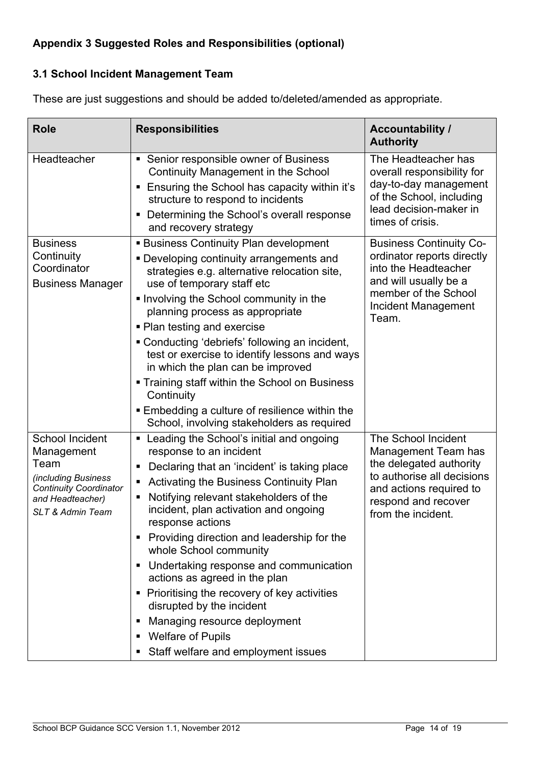### **Appendix 3 Suggested Roles and Responsibilities (optional)**

### **3.1 School Incident Management Team**

These are just suggestions and should be added to/deleted/amended as appropriate.

| <b>Role</b>                                          | <b>Responsibilities</b>                                                                                                | <b>Accountability /</b><br><b>Authority</b>                                 |
|------------------------------------------------------|------------------------------------------------------------------------------------------------------------------------|-----------------------------------------------------------------------------|
| Headteacher                                          | • Senior responsible owner of Business<br>Continuity Management in the School                                          | The Headteacher has<br>overall responsibility for<br>day-to-day management  |
|                                                      | Ensuring the School has capacity within it's<br>structure to respond to incidents                                      | of the School, including                                                    |
|                                                      | Determining the School's overall response<br>and recovery strategy                                                     | lead decision-maker in<br>times of crisis.                                  |
| <b>Business</b>                                      | <b>Business Continuity Plan development</b>                                                                            | <b>Business Continuity Co-</b>                                              |
| Continuity<br>Coordinator<br><b>Business Manager</b> | • Developing continuity arrangements and<br>strategies e.g. alternative relocation site,<br>use of temporary staff etc | ordinator reports directly<br>into the Headteacher<br>and will usually be a |
|                                                      | Involving the School community in the<br>planning process as appropriate                                               | member of the School<br>Incident Management<br>Team.                        |
|                                                      | • Plan testing and exercise<br>• Conducting 'debriefs' following an incident,                                          |                                                                             |
|                                                      | test or exercise to identify lessons and ways<br>in which the plan can be improved                                     |                                                                             |
|                                                      | • Training staff within the School on Business<br>Continuity                                                           |                                                                             |
|                                                      | Embedding a culture of resilience within the<br>School, involving stakeholders as required                             |                                                                             |
| School Incident<br>Management                        | Leading the School's initial and ongoing<br>response to an incident                                                    | The School Incident<br>Management Team has                                  |
| Team                                                 | Declaring that an 'incident' is taking place                                                                           | the delegated authority<br>to authorise all decisions                       |
| (including Business<br>Continuity Coordinator        | Activating the Business Continuity Plan                                                                                | and actions required to                                                     |
| and Headteacher)<br><b>SLT &amp; Admin Team</b>      | Notifying relevant stakeholders of the<br>incident, plan activation and ongoing<br>response actions                    | respond and recover<br>from the incident.                                   |
|                                                      | Providing direction and leadership for the<br>whole School community                                                   |                                                                             |
|                                                      | Undertaking response and communication<br>п<br>actions as agreed in the plan                                           |                                                                             |
|                                                      | Prioritising the recovery of key activities<br>п<br>disrupted by the incident                                          |                                                                             |
|                                                      | Managing resource deployment<br>п<br><b>Welfare of Pupils</b><br>п                                                     |                                                                             |
|                                                      | Staff welfare and employment issues                                                                                    |                                                                             |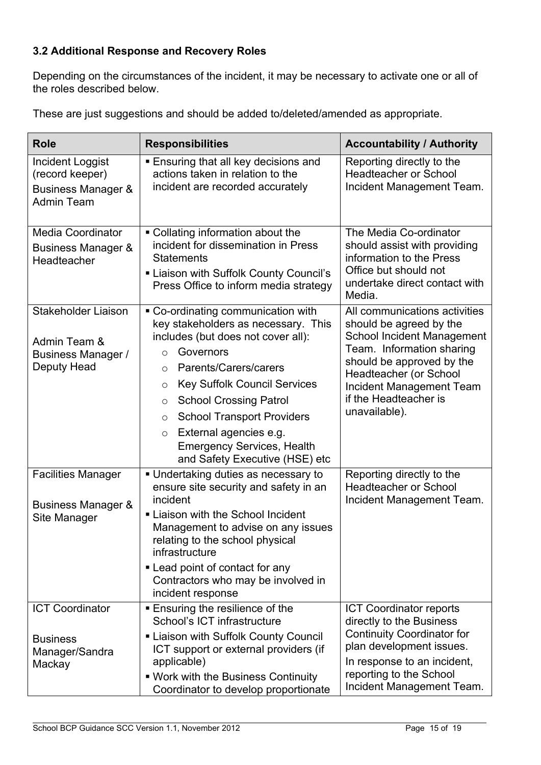### **3.2 Additional Response and Recovery Roles**

Depending on the circumstances of the incident, it may be necessary to activate one or all of the roles described below.

| <b>Role</b>                                                                    | <b>Responsibilities</b>                                                                                                                                                                                                                                                                                                                                                                                                         | <b>Accountability / Authority</b>                                                                                                                                                                                                                       |  |
|--------------------------------------------------------------------------------|---------------------------------------------------------------------------------------------------------------------------------------------------------------------------------------------------------------------------------------------------------------------------------------------------------------------------------------------------------------------------------------------------------------------------------|---------------------------------------------------------------------------------------------------------------------------------------------------------------------------------------------------------------------------------------------------------|--|
| Incident Loggist<br>(record keeper)<br>Business Manager &<br><b>Admin Team</b> | <b>Ensuring that all key decisions and</b><br>actions taken in relation to the<br>incident are recorded accurately                                                                                                                                                                                                                                                                                                              | Reporting directly to the<br><b>Headteacher or School</b><br>Incident Management Team.                                                                                                                                                                  |  |
| <b>Media Coordinator</b><br>Business Manager &<br>Headteacher                  | • Collating information about the<br>incident for dissemination in Press<br><b>Statements</b><br>Liaison with Suffolk County Council's<br>Press Office to inform media strategy                                                                                                                                                                                                                                                 | The Media Co-ordinator<br>should assist with providing<br>information to the Press<br>Office but should not<br>undertake direct contact with<br>Media.                                                                                                  |  |
| Stakeholder Liaison<br>Admin Team &<br>Business Manager /<br>Deputy Head       | • Co-ordinating communication with<br>key stakeholders as necessary. This<br>includes (but does not cover all):<br>Governors<br>$\circ$<br>Parents/Carers/carers<br>$\circ$<br><b>Key Suffolk Council Services</b><br>O<br><b>School Crossing Patrol</b><br>$\circ$<br><b>School Transport Providers</b><br>$\circ$<br>External agencies e.g.<br>$\circ$<br><b>Emergency Services, Health</b><br>and Safety Executive (HSE) etc | All communications activities<br>should be agreed by the<br>School Incident Management<br>Team. Information sharing<br>should be approved by the<br>Headteacher (or School<br><b>Incident Management Team</b><br>if the Headteacher is<br>unavailable). |  |
| <b>Facilities Manager</b><br><b>Business Manager &amp;</b><br>Site Manager     | Undertaking duties as necessary to<br>ensure site security and safety in an<br>incident<br>- Liaison with the School Incident<br>Management to advise on any issues<br>relating to the school physical<br>infrastructure<br>• Lead point of contact for any<br>Contractors who may be involved in<br>incident response                                                                                                          | Reporting directly to the<br><b>Headteacher or School</b><br>Incident Management Team.                                                                                                                                                                  |  |
| <b>ICT Coordinator</b><br><b>Business</b><br>Manager/Sandra<br>Mackay          | <b>Ensuring the resilience of the</b><br>School's ICT infrastructure<br><b>ELiaison with Suffolk County Council</b><br>ICT support or external providers (if<br>applicable)<br>. Work with the Business Continuity<br>Coordinator to develop proportionate                                                                                                                                                                      | <b>ICT Coordinator reports</b><br>directly to the Business<br><b>Continuity Coordinator for</b><br>plan development issues.<br>In response to an incident,<br>reporting to the School<br>Incident Management Team.                                      |  |

These are just suggestions and should be added to/deleted/amended as appropriate.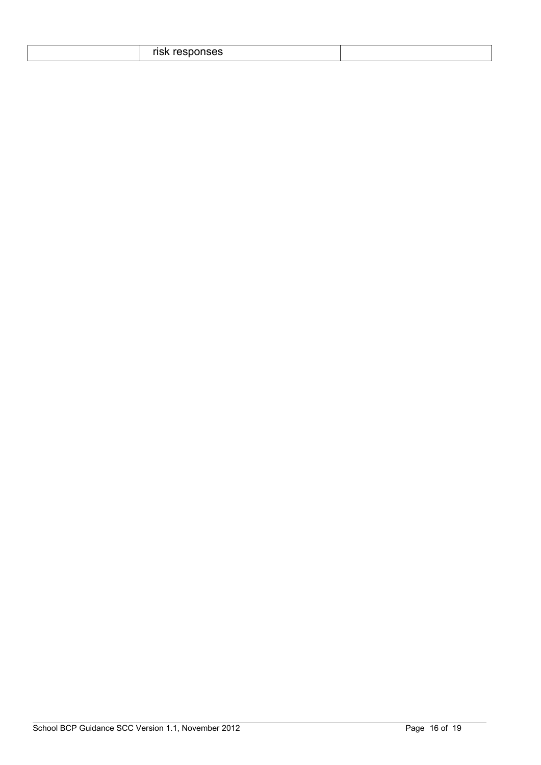|--|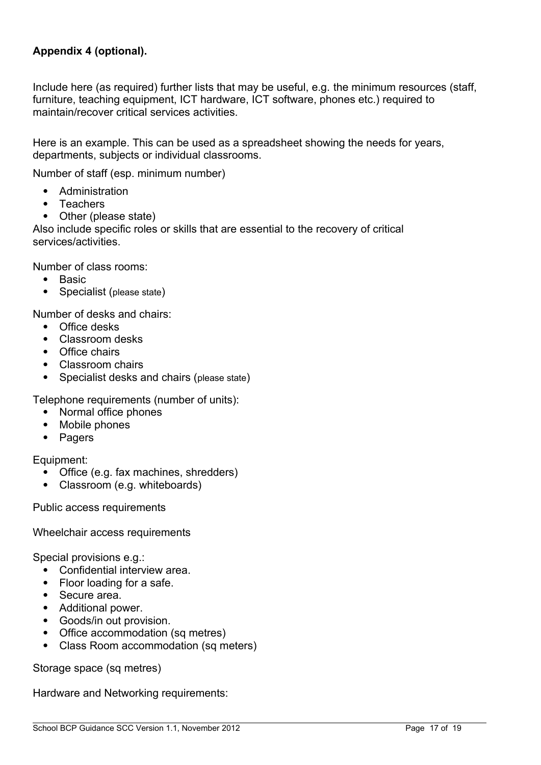### **Appendix 4 (optional).**

Include here (as required) further lists that may be useful, e.g. the minimum resources (staff, furniture, teaching equipment, ICT hardware, ICT software, phones etc.) required to maintain/recover critical services activities.

Here is an example. This can be used as a spreadsheet showing the needs for years, departments, subjects or individual classrooms.

Number of staff (esp. minimum number)

- Administration
- Teachers
- Other (please state)

Also include specific roles or skills that are essential to the recovery of critical services/activities.

Number of class rooms:

- Basic
- Specialist (please state)

Number of desks and chairs:

- Office desks
- Classroom desks
- Office chairs
- Classroom chairs
- Specialist desks and chairs (please state)

Telephone requirements (number of units):

- Normal office phones
- Mobile phones
- Pagers

Equipment:

- Office (e.g. fax machines, shredders)
- Classroom (e.g. whiteboards)

Public access requirements

Wheelchair access requirements

Special provisions e.g.:

- Confidential interview area.
- Floor loading for a safe.
- Secure area.
- Additional power.
- Goods/in out provision.
- Office accommodation (sq metres)
- Class Room accommodation (sq meters)

Storage space (sq metres)

Hardware and Networking requirements: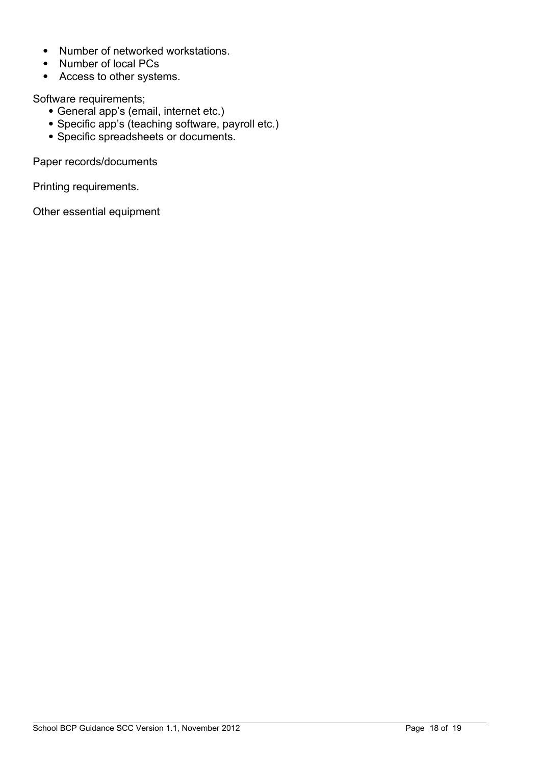- Number of networked workstations.
- Number of local PCs
- Access to other systems.

Software requirements;

- General app's (email, internet etc.)
- Specific app's (teaching software, payroll etc.)
- Specific spreadsheets or documents.

Paper records/documents

Printing requirements.

Other essential equipment